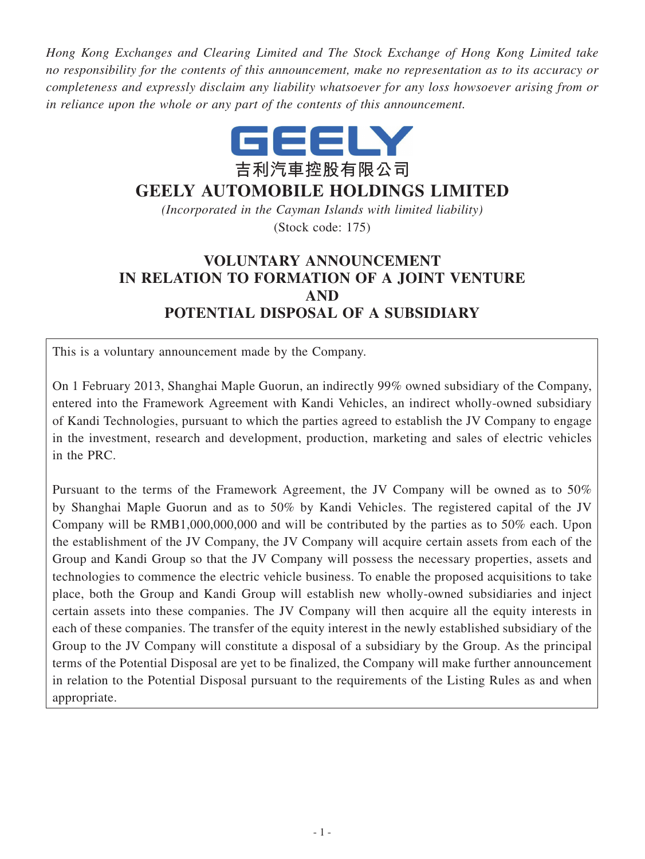*Hong Kong Exchanges and Clearing Limited and The Stock Exchange of Hong Kong Limited take no responsibility for the contents of this announcement, make no representation as to its accuracy or completeness and expressly disclaim any liability whatsoever for any loss howsoever arising from or in reliance upon the whole or any part of the contents of this announcement.*



# **GEELY AUTOMOBILE HOLDINGS LIMITED**

*(Incorporated in the Cayman Islands with limited liability)* (Stock code: 175)

# **VOLUNTARY ANNOUNCEMENT IN RELATION TO FORMATION OF A JOINT VENTURE AND POTENTIAL DISPOSAL OF A SUBSIDIARY**

This is a voluntary announcement made by the Company.

On 1 February 2013, Shanghai Maple Guorun, an indirectly 99% owned subsidiary of the Company, entered into the Framework Agreement with Kandi Vehicles, an indirect wholly-owned subsidiary of Kandi Technologies, pursuant to which the parties agreed to establish the JV Company to engage in the investment, research and development, production, marketing and sales of electric vehicles in the PRC.

Pursuant to the terms of the Framework Agreement, the JV Company will be owned as to 50% by Shanghai Maple Guorun and as to 50% by Kandi Vehicles. The registered capital of the JV Company will be RMB1,000,000,000 and will be contributed by the parties as to 50% each. Upon the establishment of the JV Company, the JV Company will acquire certain assets from each of the Group and Kandi Group so that the JV Company will possess the necessary properties, assets and technologies to commence the electric vehicle business. To enable the proposed acquisitions to take place, both the Group and Kandi Group will establish new wholly-owned subsidiaries and inject certain assets into these companies. The JV Company will then acquire all the equity interests in each of these companies. The transfer of the equity interest in the newly established subsidiary of the Group to the JV Company will constitute a disposal of a subsidiary by the Group. As the principal terms of the Potential Disposal are yet to be finalized, the Company will make further announcement in relation to the Potential Disposal pursuant to the requirements of the Listing Rules as and when appropriate.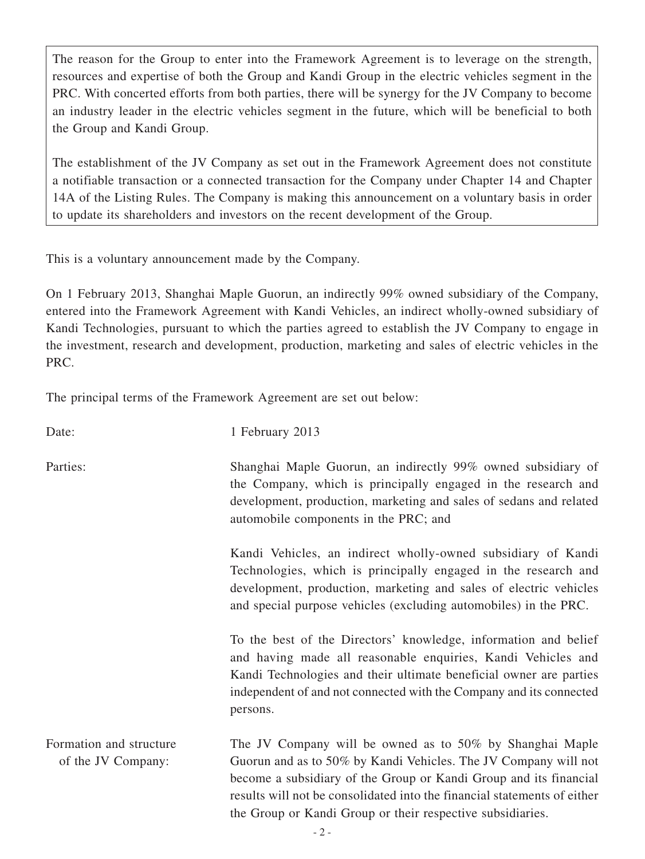The reason for the Group to enter into the Framework Agreement is to leverage on the strength, resources and expertise of both the Group and Kandi Group in the electric vehicles segment in the PRC. With concerted efforts from both parties, there will be synergy for the JV Company to become an industry leader in the electric vehicles segment in the future, which will be beneficial to both the Group and Kandi Group.

The establishment of the JV Company as set out in the Framework Agreement does not constitute a notifiable transaction or a connected transaction for the Company under Chapter 14 and Chapter 14A of the Listing Rules. The Company is making this announcement on a voluntary basis in order to update its shareholders and investors on the recent development of the Group.

This is a voluntary announcement made by the Company.

On 1 February 2013, Shanghai Maple Guorun, an indirectly 99% owned subsidiary of the Company, entered into the Framework Agreement with Kandi Vehicles, an indirect wholly-owned subsidiary of Kandi Technologies, pursuant to which the parties agreed to establish the JV Company to engage in the investment, research and development, production, marketing and sales of electric vehicles in the PRC.

The principal terms of the Framework Agreement are set out below:

| Date:                                         | 1 February 2013                                                                                                                                                                                                                                                                                                                            |
|-----------------------------------------------|--------------------------------------------------------------------------------------------------------------------------------------------------------------------------------------------------------------------------------------------------------------------------------------------------------------------------------------------|
| Parties:                                      | Shanghai Maple Guorun, an indirectly 99% owned subsidiary of<br>the Company, which is principally engaged in the research and<br>development, production, marketing and sales of sedans and related<br>automobile components in the PRC; and                                                                                               |
|                                               | Kandi Vehicles, an indirect wholly-owned subsidiary of Kandi<br>Technologies, which is principally engaged in the research and<br>development, production, marketing and sales of electric vehicles<br>and special purpose vehicles (excluding automobiles) in the PRC.                                                                    |
|                                               | To the best of the Directors' knowledge, information and belief<br>and having made all reasonable enquiries, Kandi Vehicles and<br>Kandi Technologies and their ultimate beneficial owner are parties<br>independent of and not connected with the Company and its connected<br>persons.                                                   |
| Formation and structure<br>of the JV Company: | The JV Company will be owned as to 50% by Shanghai Maple<br>Guorun and as to 50% by Kandi Vehicles. The JV Company will not<br>become a subsidiary of the Group or Kandi Group and its financial<br>results will not be consolidated into the financial statements of either<br>the Group or Kandi Group or their respective subsidiaries. |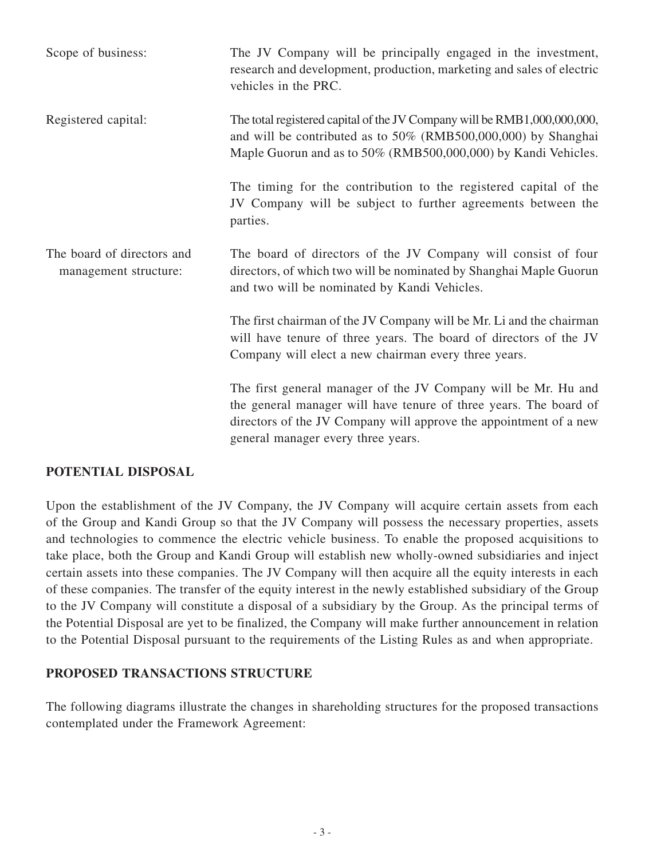| Scope of business:                                  | The JV Company will be principally engaged in the investment,<br>research and development, production, marketing and sales of electric<br>vehicles in the PRC.                                                                                 |
|-----------------------------------------------------|------------------------------------------------------------------------------------------------------------------------------------------------------------------------------------------------------------------------------------------------|
| Registered capital:                                 | The total registered capital of the JV Company will be RMB1,000,000,000,<br>and will be contributed as to 50% (RMB500,000,000) by Shanghai<br>Maple Guorun and as to 50% (RMB500,000,000) by Kandi Vehicles.                                   |
|                                                     | The timing for the contribution to the registered capital of the<br>JV Company will be subject to further agreements between the<br>parties.                                                                                                   |
| The board of directors and<br>management structure: | The board of directors of the JV Company will consist of four<br>directors, of which two will be nominated by Shanghai Maple Guorun<br>and two will be nominated by Kandi Vehicles.                                                            |
|                                                     | The first chairman of the JV Company will be Mr. Li and the chairman<br>will have tenure of three years. The board of directors of the JV<br>Company will elect a new chairman every three years.                                              |
|                                                     | The first general manager of the JV Company will be Mr. Hu and<br>the general manager will have tenure of three years. The board of<br>directors of the JV Company will approve the appointment of a new<br>general manager every three years. |

## **Potential DISPOSAL**

Upon the establishment of the JV Company, the JV Company will acquire certain assets from each of the Group and Kandi Group so that the JV Company will possess the necessary properties, assets and technologies to commence the electric vehicle business. To enable the proposed acquisitions to take place, both the Group and Kandi Group will establish new wholly-owned subsidiaries and inject certain assets into these companies. The JV Company will then acquire all the equity interests in each of these companies. The transfer of the equity interest in the newly established subsidiary of the Group to the JV Company will constitute a disposal of a subsidiary by the Group. As the principal terms of the Potential Disposal are yet to be finalized, the Company will make further announcement in relation to the Potential Disposal pursuant to the requirements of the Listing Rules as and when appropriate.

## **Proposed TRANSACTIONS STRUCTURE**

The following diagrams illustrate the changes in shareholding structures for the proposed transactions contemplated under the Framework Agreement: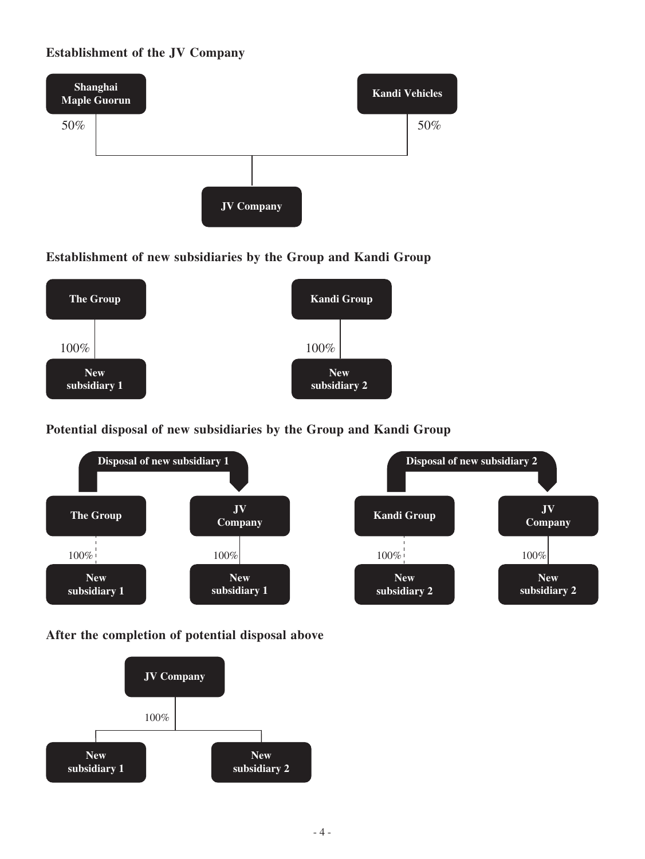# **Establishment of the JV Company**



**Establishment of new subsidiaries by the Group and Kandi Group**



**Potential disposal of new subsidiaries by the Group and Kandi Group**



**After the completion of potential disposal above**

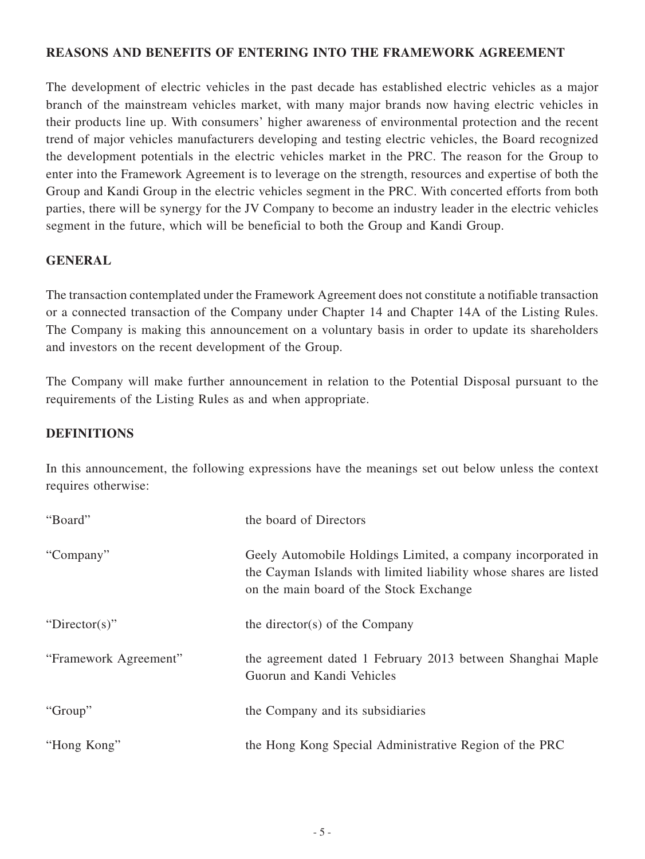### **REASONS AND BENEFITS OF entering into THE framework agreement**

The development of electric vehicles in the past decade has established electric vehicles as a major branch of the mainstream vehicles market, with many major brands now having electric vehicles in their products line up. With consumers' higher awareness of environmental protection and the recent trend of major vehicles manufacturers developing and testing electric vehicles, the Board recognized the development potentials in the electric vehicles market in the PRC. The reason for the Group to enter into the Framework Agreement is to leverage on the strength, resources and expertise of both the Group and Kandi Group in the electric vehicles segment in the PRC. With concerted efforts from both parties, there will be synergy for the JV Company to become an industry leader in the electric vehicles segment in the future, which will be beneficial to both the Group and Kandi Group.

## **GENERAL**

The transaction contemplated under the Framework Agreement does not constitute a notifiable transaction or a connected transaction of the Company under Chapter 14 and Chapter 14A of the Listing Rules. The Company is making this announcement on a voluntary basis in order to update its shareholders and investors on the recent development of the Group.

The Company will make further announcement in relation to the Potential Disposal pursuant to the requirements of the Listing Rules as and when appropriate.

#### **DEFINITIONS**

In this announcement, the following expressions have the meanings set out below unless the context requires otherwise:

| "Board"               | the board of Directors                                                                                                                                                       |
|-----------------------|------------------------------------------------------------------------------------------------------------------------------------------------------------------------------|
| "Company"             | Geely Automobile Holdings Limited, a company incorporated in<br>the Cayman Islands with limited liability whose shares are listed<br>on the main board of the Stock Exchange |
| "Director(s)"         | the director(s) of the Company                                                                                                                                               |
| "Framework Agreement" | the agreement dated 1 February 2013 between Shanghai Maple<br>Guorun and Kandi Vehicles                                                                                      |
| "Group"               | the Company and its subsidiaries                                                                                                                                             |
| "Hong Kong"           | the Hong Kong Special Administrative Region of the PRC                                                                                                                       |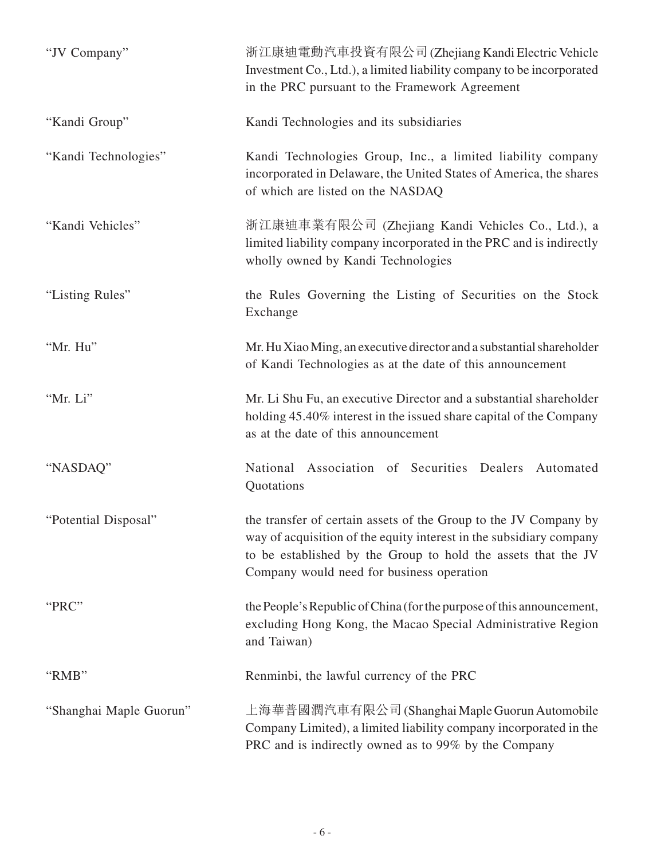| "JV Company"            | 浙江康迪電動汽車投資有限公司 (Zhejiang Kandi Electric Vehicle<br>Investment Co., Ltd.), a limited liability company to be incorporated<br>in the PRC pursuant to the Framework Agreement                                                                            |
|-------------------------|-------------------------------------------------------------------------------------------------------------------------------------------------------------------------------------------------------------------------------------------------------|
| "Kandi Group"           | Kandi Technologies and its subsidiaries                                                                                                                                                                                                               |
| "Kandi Technologies"    | Kandi Technologies Group, Inc., a limited liability company<br>incorporated in Delaware, the United States of America, the shares<br>of which are listed on the NASDAQ                                                                                |
| "Kandi Vehicles"        | 浙江康迪車業有限公司 (Zhejiang Kandi Vehicles Co., Ltd.), a<br>limited liability company incorporated in the PRC and is indirectly<br>wholly owned by Kandi Technologies                                                                                        |
| "Listing Rules"         | the Rules Governing the Listing of Securities on the Stock<br>Exchange                                                                                                                                                                                |
| "Mr. Hu"                | Mr. Hu Xiao Ming, an executive director and a substantial shareholder<br>of Kandi Technologies as at the date of this announcement                                                                                                                    |
| "Mr. Li"                | Mr. Li Shu Fu, an executive Director and a substantial shareholder<br>holding 45.40% interest in the issued share capital of the Company<br>as at the date of this announcement                                                                       |
| "NASDAQ"                | National Association of Securities Dealers Automated<br>Quotations                                                                                                                                                                                    |
| "Potential Disposal"    | the transfer of certain assets of the Group to the JV Company by<br>way of acquisition of the equity interest in the subsidiary company<br>to be established by the Group to hold the assets that the JV<br>Company would need for business operation |
| "PRC"                   | the People's Republic of China (for the purpose of this announcement,<br>excluding Hong Kong, the Macao Special Administrative Region<br>and Taiwan)                                                                                                  |
| "RMB"                   | Renminbi, the lawful currency of the PRC                                                                                                                                                                                                              |
| "Shanghai Maple Guorun" | 上海華普國潤汽車有限公司 (Shanghai Maple Guorun Automobile<br>Company Limited), a limited liability company incorporated in the<br>PRC and is indirectly owned as to 99% by the Company                                                                           |